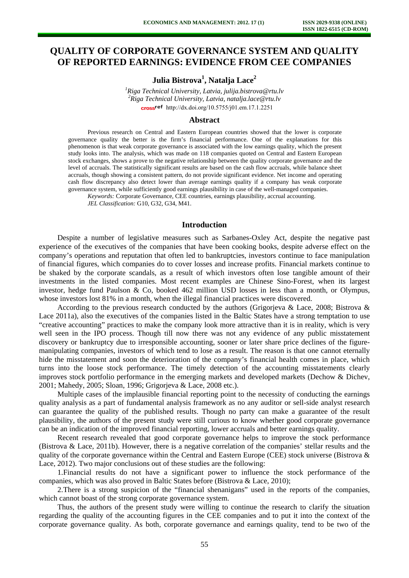# **QUALITY OF CORPORATE GOVERNANCE SYSTEM AND QUALITY OF REPORTED EARNINGS: EVIDENCE FROM CEE COMPANIES**

**Julia Bistrova1 , Natalja Lace<sup>2</sup>**

*1 Riga Technical University, Latvia, julija.bistrova@rtu.lv 2 Riga Technical University, Latvia, natalja.lace@rtu.lv*  [http://dx.doi.org/10.5755/j01.e](http://dx.doi.org/10.5755/j01.em.17.1.2251)m.17.1.2251

#### **Abstract**

Previous research on Central and Eastern European countries showed that the lower is corporate governance quality the better is the firm's financial performance. One of the explanations for this phenomenon is that weak corporate governance is associated with the low earnings quality, which the present study looks into. The analysis, which was made on 118 companies quoted on Central and Eastern European stock exchanges, shows a prove to the negative relationship between the quality corporate governance and the level of accruals. The statistically significant results are based on the cash flow accruals, while balance sheet accruals, though showing a consistent pattern, do not provide significant evidence. Net income and operating cash flow discrepancy also detect lower than average earnings quality if a company has weak corporate governance system, while sufficiently good earnings plausibility in case of the well-managed companies.

*Keywords:* Corporate Governance, CEE countries, earnings plausibility, accrual accounting. *JEL Classification:* G10, G32, G34, M41.

## **Introduction**

Despite a number of legislative measures such as Sarbanes-Oxley Act, despite the negative past experience of the executives of the companies that have been cooking books, despite adverse effect on the company's operations and reputation that often led to bankruptcies, investors continue to face manipulation of financial figures, which companies do to cover losses and increase profits. Financial markets continue to be shaked by the corporate scandals, as a result of which investors often lose tangible amount of their investments in the listed companies. Most recent examples are Chinese Sino-Forest, when its largest investor, hedge fund Paulson & Co, booked 462 million USD losses in less than a month, or Olympus, whose investors lost 81% in a month, when the illegal financial practices were discovered.

According to the previous research conducted by the authors (Grigorjeva & Lace, 2008; Bistrova & Lace 2011a), also the executives of the companies listed in the Baltic States have a strong temptation to use "creative accounting" practices to make the company look more attractive than it is in reality, which is very well seen in the IPO process. Though till now there was not any evidence of any public misstatement discovery or bankruptcy due to irresponsible accounting, sooner or later share price declines of the figuremanipulating companies, investors of which tend to lose as a result. The reason is that one cannot eternally hide the misstatement and soon the deterioration of the company's financial health comes in place, which turns into the loose stock performance. The timely detection of the accounting misstatements clearly improves stock portfolio performance in the emerging markets and developed markets (Dechow & Dichev, 2001; Mahedy, 2005; Sloan, 1996; Grigorjeva & Lace, 2008 etc.).

Multiple cases of the implausible financial reporting point to the necessity of conducting the earnings quality analysis as a part of fundamental analysis framework as no any auditor or sell-side analyst research can guarantee the quality of the published results. Though no party can make a guarantee of the result plausibility, the authors of the present study were still curious to know whether good corporate governance can be an indication of the improved financial reporting, lower accruals and better earnings quality.

Recent research revealed that good corporate governance helps to improve the stock performance (Bistrova & Lace, 2011b). However, there is a negative correlation of the companies' stellar results and the quality of the corporate governance within the Central and Eastern Europe (CEE) stock universe (Bistrova  $\&$ Lace, 2012). Two major conclusions out of these studies are the following:

1.Financial results do not have a significant power to influence the stock performance of the companies, which was also proved in Baltic States before (Bistrova & Lace, 2010);

2.There is a strong suspicion of the "financial shenanigans" used in the reports of the companies, which cannot boast of the strong corporate governance system.

Thus, the authors of the present study were willing to continue the research to clarify the situation regarding the quality of the accounting figures in the CEE companies and to put it into the context of the corporate governance quality. As both, corporate governance and earnings quality, tend to be two of the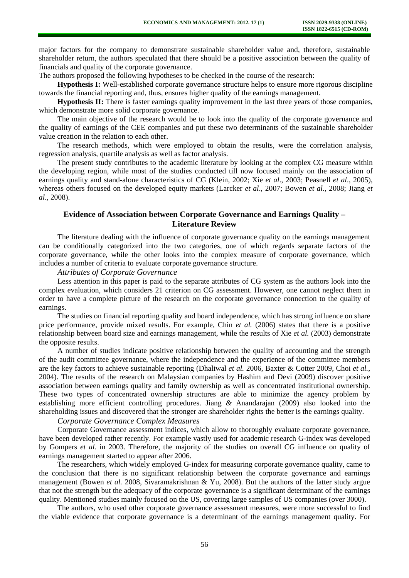major factors for the company to demonstrate sustainable shareholder value and, therefore, sustainable shareholder return, the authors speculated that there should be a positive association between the quality of financials and quality of the corporate governance.

The authors proposed the following hypotheses to be checked in the course of the research:

**Hypothesis I:** Well-established corporate governance structure helps to ensure more rigorous discipline towards the financial reporting and, thus, ensures higher quality of the earnings management.

**Hypothesis II:** There is faster earnings quality improvement in the last three years of those companies, which demonstrate more solid corporate governance.

The main objective of the research would be to look into the quality of the corporate governance and the quality of earnings of the CEE companies and put these two determinants of the sustainable shareholder value creation in the relation to each other.

The research methods, which were employed to obtain the results, were the correlation analysis, regression analysis, quartile analysis as well as factor analysis.

The present study contributes to the academic literature by looking at the complex CG measure within the developing region, while most of the studies conducted till now focused mainly on the association of earnings quality and stand-alone characteristics of CG (Klein, 2002; Xie *et al*., 2003; Peasnell *et al*., 2005), whereas others focused on the developed equity markets (Larcker *et al*., 2007; Bowen *et al*., 2008; Jiang *et al*., 2008).

## **Evidence of Association between Corporate Governance and Earnings Quality – Literature Review**

The literature dealing with the influence of corporate governance quality on the earnings management can be conditionally categorized into the two categories, one of which regards separate factors of the corporate governance, while the other looks into the complex measure of corporate governance, which includes a number of criteria to evaluate corporate governance structure.

### *Attributes of Corporate Governance*

Less attention in this paper is paid to the separate attributes of CG system as the authors look into the complex evaluation, which considers 21 criterion on CG assessment. However, one cannot neglect them in order to have a complete picture of the research on the corporate governance connection to the quality of earnings.

The studies on financial reporting quality and board independence, which has strong influence on share price performance, provide mixed results. For example, Chin *et al.* (2006) states that there is a positive relationship between board size and earnings management, while the results of Xie *et al.* (2003) demonstrate the opposite results.

A number of studies indicate positive relationship between the quality of accounting and the strength of the audit committee governance, where the independence and the experience of the committee members are the key factors to achieve sustainable reporting (Dhaliwal *et al.* 2006, Baxter & Cotter 2009, Choi *et al.,* 2004). The results of the research on Malaysian companies by Hashim and Devi (2009) discover positive association between earnings quality and family ownership as well as concentrated institutional ownership. These two types of concentrated ownership structures are able to minimize the agency problem by establishing more efficient controlling procedures. Jiang *&* Anandarajan (2009) also looked into the shareholding issues and discovered that the stronger are shareholder rights the better is the earnings quality.

### *Corporate Governance Complex Measures*

Corporate Governance assessment indices, which allow to thoroughly evaluate corporate governance, have been developed rather recently. For example vastly used for academic research G-index was developed by Gompers *et al*. in 2003. Therefore, the majority of the studies on overall CG influence on quality of earnings management started to appear after 2006.

The researchers, which widely employed G-index for measuring corporate governance quality, came to the conclusion that there is no significant relationship between the corporate governance and earnings management (Bowen *et al.* 2008, Sivaramakrishnan & Yu, 2008). But the authors of the latter study argue that not the strength but the adequacy of the corporate governance is a significant determinant of the earnings quality. Mentioned studies mainly focused on the US, covering large samples of US companies (over 3000).

The authors, who used other corporate governance assessment measures, were more successful to find the viable evidence that corporate governance is a determinant of the earnings management quality. For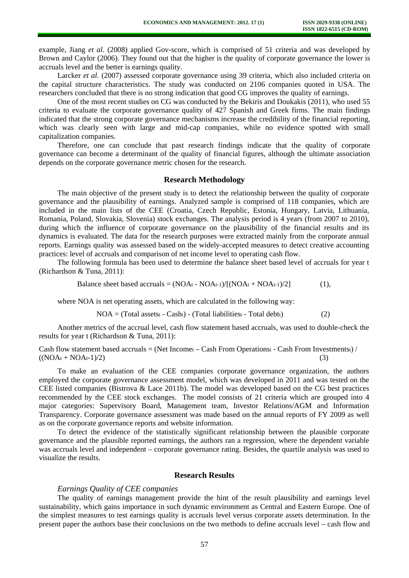example, Jiang *et al.* (2008) applied Gov-score, which is comprised of 51 criteria and was developed by Brown and Caylor (2006). They found out that the higher is the quality of corporate governance the lower is accruals level and the better is earnings quality.

Larcker *et al.* (2007) assessed corporate governance using 39 criteria, which also included criteria on the capital structure characteristics. The study was conducted on 2106 companies quoted in USA. The researchers concluded that there is no strong indication that good CG improves the quality of earnings.

One of the most recent studies on CG was conducted by the Bekiris and Doukakis (2011), who used 55 criteria to evaluate the corporate governance quality of 427 Spanish and Greek firms. The main findings indicated that the strong corporate governance mechanisms increase the credibility of the financial reporting, which was clearly seen with large and mid-cap companies, while no evidence spotted with small capitalization companies.

Therefore, one can conclude that past research findings indicate that the quality of corporate governance can become a determinant of the quality of financial figures, although the ultimate association depends on the corporate governance metric chosen for the research.

## **Research Methodology**

The main objective of the present study is to detect the relationship between the quality of corporate governance and the plausibility of earnings. Analyzed sample is comprised of 118 companies, which are included in the main lists of the CEE (Croatia, Czech Republic, Estonia, Hungary, Latvia, Lithuania, Romania, Poland, Slovakia, Slovenia) stock exchanges. The analysis period is 4 years (from 2007 to 2010), during which the influence of corporate governance on the plausibility of the financial results and its dynamics is evaluated. The data for the research purposes were extracted mainly from the corporate annual reports. Earnings quality was assessed based on the widely-accepted measures to detect creative accounting practices: level of accruals and comparison of net income level to operating cash flow.

The following formula has been used to determine the balance sheet based level of accruals for year t (Richardson & Tuna, 2011):

Balance sheet based accruals =  $(NOAt - NOAt-1)/[(NOAt + NOAt-1)/2]$  (1),

where NOA is net operating assets, which are calculated in the following way:

 $NOA = (Total assets<sub>t</sub> - Cash<sub>t</sub>) - (Total liabilities<sub>t</sub> - Total debt)$  (2)

Another metrics of the accrual level, cash flow statement based accruals, was used to double-check the results for year t (Richardson & Tuna, 2011):

Cash flow statement based accruals = (Net Incomet – Cash From Operationst - Cash From Investmentst) /  $((NOA<sub>t</sub> + NOA<sub>t</sub>-1)/2)$  (3)

To make an evaluation of the CEE companies corporate governance organization, the authors employed the corporate governance assessment model, which was developed in 2011 and was tested on the CEE listed companies (Bistrova & Lace 2011b). The model was developed based on the CG best practices recommended by the CEE stock exchanges. The model consists of 21 criteria which are grouped into 4 major categories: Supervisory Board, Management team, Investor Relations/AGM and Information Transparency. Corporate governance assessment was made based on the annual reports of FY 2009 as well as on the corporate governance reports and website information.

To detect the evidence of the statistically significant relationship between the plausible corporate governance and the plausible reported earnings, the authors ran a regression, where the dependent variable was accruals level and independent – corporate governance rating. Besides, the quartile analysis was used to visualize the results.

#### **Research Results**

#### *Earnings Quality of CEE companies*

The quality of earnings management provide the hint of the result plausibility and earnings level sustainability, which gains importance in such dynamic environment as Central and Eastern Europe. One of the simplest measures to test earnings quality is accruals level versus corporate assets determination. In the present paper the authors base their conclusions on the two methods to define accruals level – cash flow and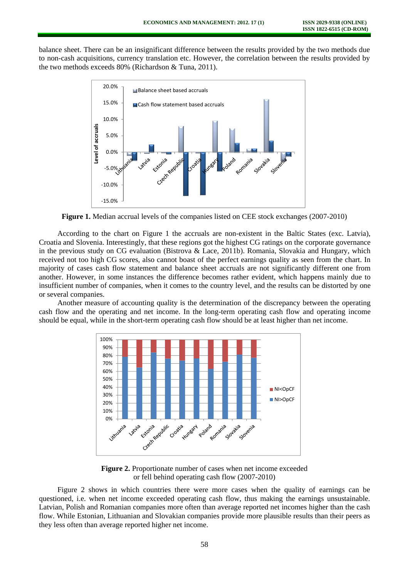balance sheet. There can be an insignificant difference between the results provided by the two methods due to non-cash acquisitions, currency translation etc. However, the correlation between the results provided by the two methods exceeds 80% (Richardson & Tuna, 2011).



**Figure 1.** Median accrual levels of the companies listed on CEE stock exchanges (2007-2010)

According to the chart on Figure 1 the accruals are non-existent in the Baltic States (exc. Latvia), Croatia and Slovenia. Interestingly, that these regions got the highest CG ratings on the corporate governance in the previous study on CG evaluation (Bistrova & Lace, 2011b). Romania, Slovakia and Hungary, which received not too high CG scores, also cannot boast of the perfect earnings quality as seen from the chart. In majority of cases cash flow statement and balance sheet accruals are not significantly different one from another. However, in some instances the difference becomes rather evident, which happens mainly due to insufficient number of companies, when it comes to the country level, and the results can be distorted by one or several companies.

Another measure of accounting quality is the determination of the discrepancy between the operating cash flow and the operating and net income. In the long-term operating cash flow and operating income should be equal, while in the short-term operating cash flow should be at least higher than net income.



**Figure 2.** Proportionate number of cases when net income exceeded or fell behind operating cash flow (2007-2010)

Figure 2 shows in which countries there were more cases when the quality of earnings can be questioned, i.e. when net income exceeded operating cash flow, thus making the earnings unsustainable. Latvian, Polish and Romanian companies more often than average reported net incomes higher than the cash flow. While Estonian, Lithuanian and Slovakian companies provide more plausible results than their peers as they less often than average reported higher net income.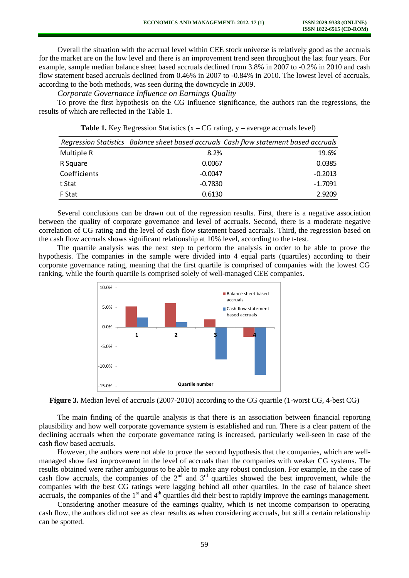Overall the situation with the accrual level within CEE stock universe is relatively good as the accruals for the market are on the low level and there is an improvement trend seen throughout the last four years. For example, sample median balance sheet based accruals declined from 3.8% in 2007 to -0.2% in 2010 and cash flow statement based accruals declined from 0.46% in 2007 to -0.84% in 2010. The lowest level of accruals, according to the both methods, was seen during the downcycle in 2009.

*Corporate Governance Influence on Earnings Quality* 

To prove the first hypothesis on the CG influence significance, the authors ran the regressions, the results of which are reflected in the Table 1.

**Table 1.** Key Regression Statistics  $(x - CG)$  rating,  $y - average$  accruals level)

|              |           | Regression Statistics Balance sheet based accruals Cash flow statement based accruals |
|--------------|-----------|---------------------------------------------------------------------------------------|
| Multiple R   | 8.2%      | 19.6%                                                                                 |
| R Square     | 0.0067    | 0.0385                                                                                |
| Coefficients | $-0.0047$ | $-0.2013$                                                                             |
| t Stat       | $-0.7830$ | $-1.7091$                                                                             |
| F Stat       | 0.6130    | 2.9209                                                                                |

Several conclusions can be drawn out of the regression results. First, there is a negative association between the quality of corporate governance and level of accruals. Second, there is a moderate negative correlation of CG rating and the level of cash flow statement based accruals. Third, the regression based on the cash flow accruals shows significant relationship at 10% level, according to the t-test.

The quartile analysis was the next step to perform the analysis in order to be able to prove the hypothesis. The companies in the sample were divided into 4 equal parts (quartiles) according to their corporate governance rating, meaning that the first quartile is comprised of companies with the lowest CG ranking, while the fourth quartile is comprised solely of well-managed CEE companies.



**Figure 3.** Median level of accruals (2007-2010) according to the CG quartile (1-worst CG, 4-best CG)

The main finding of the quartile analysis is that there is an association between financial reporting plausibility and how well corporate governance system is established and run. There is a clear pattern of the declining accruals when the corporate governance rating is increased, particularly well-seen in case of the cash flow based accruals.

However, the authors were not able to prove the second hypothesis that the companies, which are wellmanaged show fast improvement in the level of accruals than the companies with weaker CG systems. The results obtained were rather ambiguous to be able to make any robust conclusion. For example, in the case of cash flow accruals, the companies of the  $2<sup>nd</sup>$  and  $3<sup>rd</sup>$  quartiles showed the best improvement, while the companies with the best CG ratings were lagging behind all other quartiles. In the case of balance sheet accruals, the companies of the 1<sup>st</sup> and 4<sup>th</sup> quartiles did their best to rapidly improve the earnings management.

Considering another measure of the earnings quality, which is net income comparison to operating cash flow, the authors did not see as clear results as when considering accruals, but still a certain relationship can be spotted.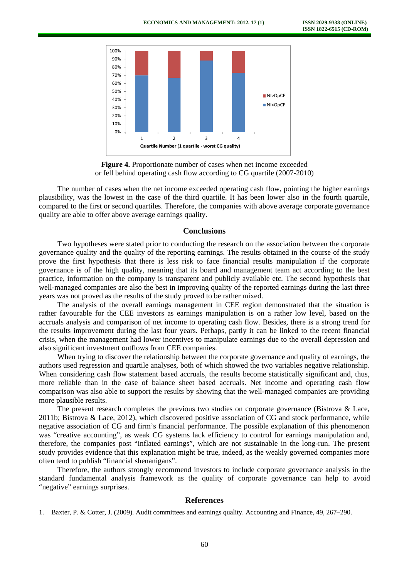

**Figure 4.** Proportionate number of cases when net income exceeded or fell behind operating cash flow according to CG quartile (2007-2010)

The number of cases when the net income exceeded operating cash flow, pointing the higher earnings plausibility, was the lowest in the case of the third quartile. It has been lower also in the fourth quartile, compared to the first or second quartiles. Therefore, the companies with above average corporate governance quality are able to offer above average earnings quality.

## **Conclusions**

Two hypotheses were stated prior to conducting the research on the association between the corporate governance quality and the quality of the reporting earnings. The results obtained in the course of the study prove the first hypothesis that there is less risk to face financial results manipulation if the corporate governance is of the high quality, meaning that its board and management team act according to the best practice, information on the company is transparent and publicly available etc. The second hypothesis that well-managed companies are also the best in improving quality of the reported earnings during the last three years was not proved as the results of the study proved to be rather mixed.

The analysis of the overall earnings management in CEE region demonstrated that the situation is rather favourable for the CEE investors as earnings manipulation is on a rather low level, based on the accruals analysis and comparison of net income to operating cash flow. Besides, there is a strong trend for the results improvement during the last four years. Perhaps, partly it can be linked to the recent financial crisis, when the management had lower incentives to manipulate earnings due to the overall depression and also significant investment outflows from CEE companies.

When trying to discover the relationship between the corporate governance and quality of earnings, the authors used regression and quartile analyses, both of which showed the two variables negative relationship. When considering cash flow statement based accruals, the results become statistically significant and, thus, more reliable than in the case of balance sheet based accruals. Net income and operating cash flow comparison was also able to support the results by showing that the well-managed companies are providing more plausible results.

The present research completes the previous two studies on corporate governance (Bistrova & Lace, 2011b; Bistrova & Lace, 2012), which discovered positive association of CG and stock performance, while negative association of CG and firm's financial performance. The possible explanation of this phenomenon was "creative accounting", as weak CG systems lack efficiency to control for earnings manipulation and, therefore, the companies post "inflated earnings", which are not sustainable in the long-run. The present study provides evidence that this explanation might be true, indeed, as the weakly governed companies more often tend to publish "financial shenanigans".

Therefore, the authors strongly recommend investors to include corporate governance analysis in the standard fundamental analysis framework as the quality of corporate governance can help to avoid "negative" earnings surprises.

## **References**

1. Baxter, P. & Cotter, J. (2009). Audit committees and earnings quality. Accounting and Finance, 49, 267–290.